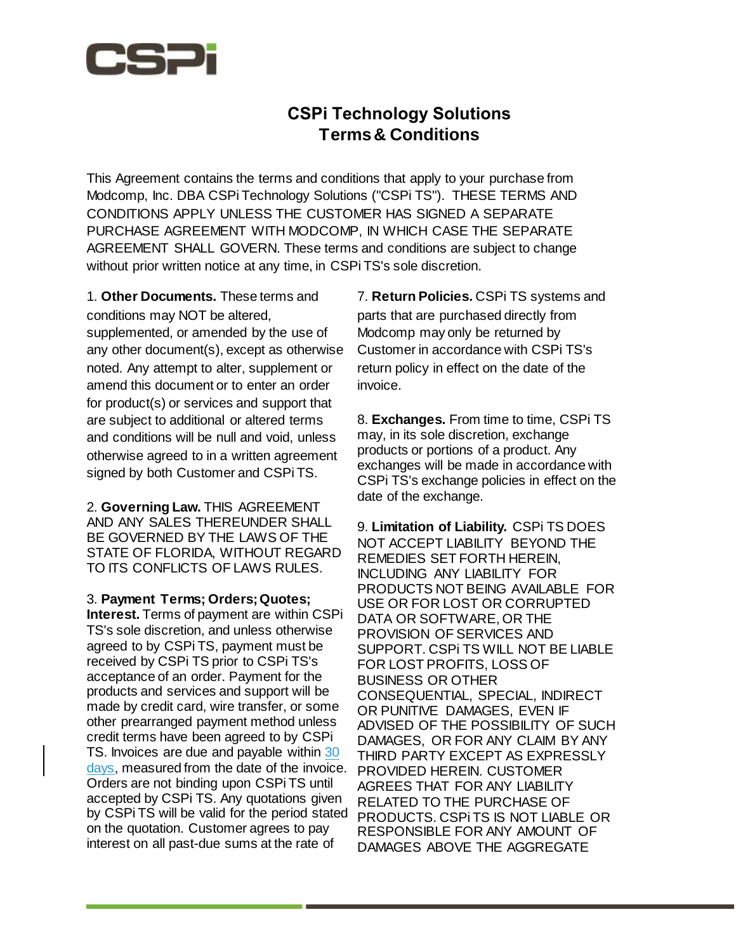

## **CSPi Technology Solutions Terms & Conditions**

This Agreement contains the terms and conditions that apply to your purchase from Modcomp, Inc. DBA CSPi Technology Solutions ("CSPi TS"). THESE TERMS AND CONDITIONS APPLY UNLESS THE CUSTOMER HAS SIGNED A SEPARATE PURCHASE AGREEMENT WITH MODCOMP, IN WHICH CASE THE SEPARATE AGREEMENT SHALL GOVERN. These terms and conditions are subject to change without prior written notice at any time, in CSPi TS's sole discretion.

1. **Other Documents.** These terms and conditions may NOT be altered, supplemented, or amended by the use of any other document(s), except as otherwise noted. Any attempt to alter, supplement or amend this document or to enter an order for product(s) or services and support that are subject to additional or altered terms and conditions will be null and void, unless otherwise agreed to in a written agreement signed by both Customer and CSPi TS.

2. **Governing Law.** THIS AGREEMENT AND ANY SALES THEREUNDER SHALL BE GOVERNED BY THE LAWS OF THE STATE OF FLORIDA, WITHOUT REGARD TO ITS CONFLICTS OF LAWS RULES.

3. **Payment Terms; Orders; Quotes; Interest.** Terms of payment are within CSPi TS's sole discretion, and unless otherwise agreed to by CSPi TS, payment must be received by CSPi TS prior to CSPi TS's acceptance of an order. Payment for the products and services and support will be made by credit card, wire transfer, or some other prearranged payment method unless credit terms have been agreed to by CSPi TS. Invoices are due and payable within 30 days, measured from the date of the invoice. Orders are not binding upon CSPi TS until accepted by CSPi TS. Any quotations given by CSPi TS will be valid for the period stated on the quotation. Customer agrees to pay interest on all past-due sums at the rate of

7. **Return Policies.** CSPi TS systems and parts that are purchased directly from Modcomp may only be returned by Customer in accordance with CSPi TS's return policy in effect on the date of the invoice.

8. **Exchanges.** From time to time, CSPi TS may, in its sole discretion, exchange products or portions of a product. Any exchanges will be made in accordance with CSPi TS's exchange policies in effect on the date of the exchange.

9. **Limitation of Liability.** CSPi TS DOES NOT ACCEPT LIABILITY BEYOND THE REMEDIES SET FORTH HEREIN, INCLUDING ANY LIABILITY FOR PRODUCTS NOT BEING AVAILABLE FOR USE OR FOR LOST OR CORRUPTED DATA OR SOFTWARE, OR THE PROVISION OF SERVICES AND SUPPORT. CSPi TS WILL NOT BE LIABLE FOR LOST PROFITS, LOSS OF BUSINESS OR OTHER CONSEQUENTIAL, SPECIAL, INDIRECT OR PUNITIVE DAMAGES, EVEN IF ADVISED OF THE POSSIBILITY OF SUCH DAMAGES, OR FOR ANY CLAIM BY ANY THIRD PARTY EXCEPT AS EXPRESSLY PROVIDED HEREIN. CUSTOMER AGREES THAT FOR ANY LIABILITY RELATED TO THE PURCHASE OF PRODUCTS. CSPi TS IS NOT LIABLE OR RESPONSIBLE FOR ANY AMOUNT OF DAMAGES ABOVE THE AGGREGATE